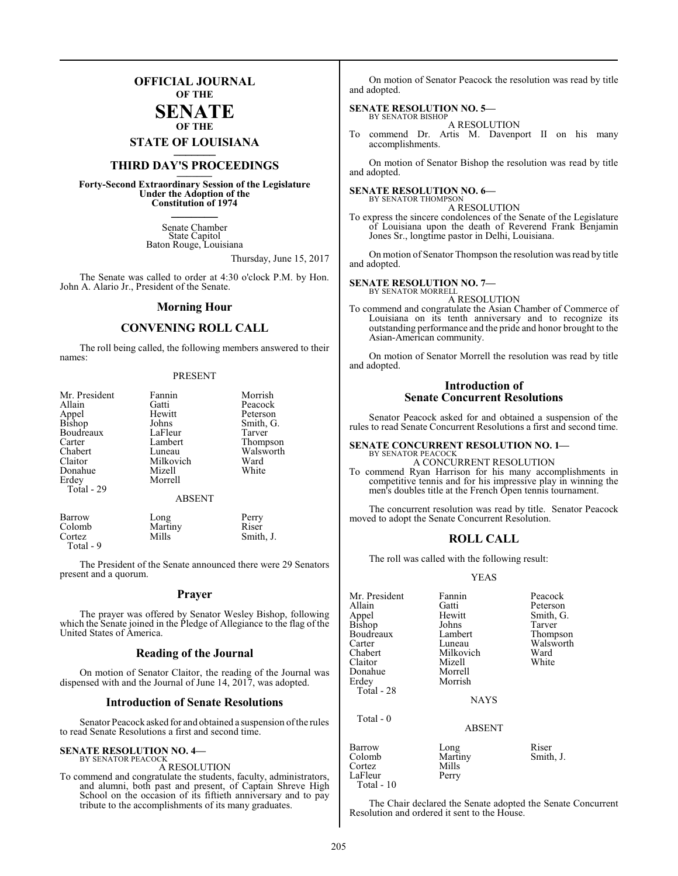## **OFFICIAL JOURNAL OF THE**

#### **SENATE OF THE**

**STATE OF LOUISIANA \_\_\_\_\_\_\_**

## **THIRD DAY'S PROCEEDINGS \_\_\_\_\_\_\_**

**Forty-Second Extraordinary Session of the Legislature Under the Adoption of the Constitution of 1974 \_\_\_\_\_\_\_**

> Senate Chamber State Capitol Baton Rouge, Louisiana

> > Thursday, June 15, 2017

The Senate was called to order at 4:30 o'clock P.M. by Hon. John A. Alario Jr., President of the Senate.

#### **Morning Hour**

#### **CONVENING ROLL CALL**

The roll being called, the following members answered to their names:

#### PRESENT

| Mr. President<br>Allain<br>Appel<br><b>Bishop</b><br>Boudreaux<br>Carter<br>Chabert<br>Claitor<br>Donahue<br>Erdey<br>Total - 29 | Fannin<br>Gatti<br>Hewitt<br>Johns<br>LaFleur<br>Lambert<br>Luneau<br>Milkovich<br>Mizell<br>Morrell<br><b>ABSENT</b> | Morrish<br>Peacock<br>Peterson<br>Smith, G.<br>Tarver<br>Thompson<br>Walsworth<br>Ward<br>White |
|----------------------------------------------------------------------------------------------------------------------------------|-----------------------------------------------------------------------------------------------------------------------|-------------------------------------------------------------------------------------------------|
| Barrow                                                                                                                           | Long                                                                                                                  | Perry                                                                                           |
| Colomb                                                                                                                           | Martiny                                                                                                               | Riser                                                                                           |
| Cortez                                                                                                                           | Mills                                                                                                                 | Smith, J.                                                                                       |

Total - 9

The President of the Senate announced there were 29 Senators present and a quorum.

#### **Prayer**

The prayer was offered by Senator Wesley Bishop, following which the Senate joined in the Pledge of Allegiance to the flag of the United States of America.

#### **Reading of the Journal**

On motion of Senator Claitor, the reading of the Journal was dispensed with and the Journal of June 14, 2017, was adopted.

#### **Introduction of Senate Resolutions**

Senator Peacock asked for and obtained a suspension ofthe rules to read Senate Resolutions a first and second time.

#### **SENATE RESOLUTION NO. 4—** BY SENATOR PEACOCK

#### A RESOLUTION

To commend and congratulate the students, faculty, administrators, and alumni, both past and present, of Captain Shreve High School on the occasion of its fiftieth anniversary and to pay tribute to the accomplishments of its many graduates.

On motion of Senator Peacock the resolution was read by title and adopted.

#### **SENATE RESOLUTION NO. 5—** BY SENATOR BISHOP

A RESOLUTION

To commend Dr. Artis M. Davenport II on his many accomplishments.

On motion of Senator Bishop the resolution was read by title and adopted.

## **SENATE RESOLUTION NO. 6—**<br>BY SENATOR THOMPSON

## A RESOLUTION

To express the sincere condolences of the Senate of the Legislature of Louisiana upon the death of Reverend Frank Benjamin Jones Sr., longtime pastor in Delhi, Louisiana.

On motion of Senator Thompson the resolution was read by title and adopted.

#### **SENATE RESOLUTION NO. 7—**

BY SENATOR MORRELL A RESOLUTION

To commend and congratulate the Asian Chamber of Commerce of Louisiana on its tenth anniversary and to recognize its outstanding performance and the pride and honor brought to the Asian-American community.

On motion of Senator Morrell the resolution was read by title and adopted.

#### **Introduction of Senate Concurrent Resolutions**

Senator Peacock asked for and obtained a suspension of the rules to read Senate Concurrent Resolutions a first and second time.

#### **SENATE CONCURRENT RESOLUTION NO. 1—** BY SENATOR PEACOCK

A CONCURRENT RESOLUTION To commend Ryan Harrison for his many accomplishments in competitive tennis and for his impressive play in winning the men's doubles title at the French Open tennis tournament.

The concurrent resolution was read by title. Senator Peacock moved to adopt the Senate Concurrent Resolution.

#### **ROLL CALL**

The roll was called with the following result:

#### YEAS

| Mr. President | Fannin        | Peacock   |
|---------------|---------------|-----------|
| Allain        | Gatti         | Peterson  |
| Appel         | Hewitt        | Smith, G. |
| Bishop        | Johns         | Tarver    |
| Boudreaux     | Lambert       | Thompson  |
| Carter        | Luneau        | Walsworth |
| Chabert       | Milkovich     | Ward      |
| Claitor       | Mizell        | White     |
| Donahue       | Morrell       |           |
| Erdey         | Morrish       |           |
| Total - 28    |               |           |
|               | <b>NAYS</b>   |           |
| Total $-0$    |               |           |
|               | <b>ABSENT</b> |           |
| Barrow        | Long          | Riser     |
| Colomb        | Martiny       | Smith, J. |
| Cortez        | Mills         |           |
| LaFleur       | Perry         |           |

The Chair declared the Senate adopted the Senate Concurrent Resolution and ordered it sent to the House.

LaFleur Total - 10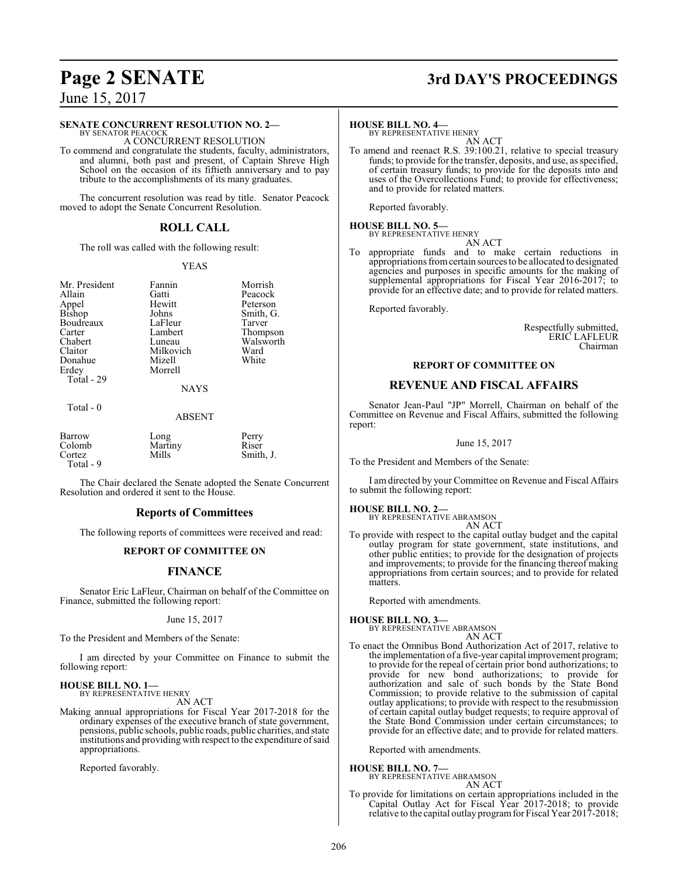## **Page 2 SENATE 3rd DAY'S PROCEEDINGS**

June 15, 2017

#### **SENATE CONCURRENT RESOLUTION NO. 2—**

BY SENATOR PEACOCK A CONCURRENT RESOLUTION

To commend and congratulate the students, faculty, administrators, and alumni, both past and present, of Captain Shreve High School on the occasion of its fiftieth anniversary and to pay tribute to the accomplishments of its many graduates.

The concurrent resolution was read by title. Senator Peacock moved to adopt the Senate Concurrent Resolution.

#### **ROLL CALL**

The roll was called with the following result:

#### YEAS

Mr. President Fannin Morrish<br>Allain Gatti Peacock Allain Gatti Peacock Appel Hewitt Peterson<br>Bishop Johns Smith, G Boudreaux LaFleur<br>Carter Lambert Carter Lambert Thompson<br>
Chabert Luneau Walsworth Chabert Luneau Walsworth<br>
Claitor Milkovich Ward Donahue<br>Erdev

Johns Smith, G.<br>LaFleur Tarver Milkovich Ward<br>
Mizell White Morrell

#### NAYS

Total - 29

#### ABSENT

| Barrow<br>Colomb<br>Cortez<br>Total - 9 | Long<br>Martiny<br>Mills | Perry<br>Riser<br>Smith, J. |
|-----------------------------------------|--------------------------|-----------------------------|
|-----------------------------------------|--------------------------|-----------------------------|

The Chair declared the Senate adopted the Senate Concurrent Resolution and ordered it sent to the House.

#### **Reports of Committees**

The following reports of committees were received and read:

#### **REPORT OF COMMITTEE ON**

#### **FINANCE**

Senator Eric LaFleur, Chairman on behalf of the Committee on Finance, submitted the following report:

#### June 15, 2017

To the President and Members of the Senate:

I am directed by your Committee on Finance to submit the following report:

#### **HOUSE BILL NO. 1—** BY REPRESENTATIVE HENRY

AN ACT

Making annual appropriations for Fiscal Year 2017-2018 for the ordinary expenses of the executive branch of state government, pensions, public schools, public roads, public charities, and state institutions and providing with respect to the expenditure ofsaid appropriations.

Reported favorably.

**HOUSE BILL NO. 4—** BY REPRESENTATIVE HENRY AN ACT

To amend and reenact R.S. 39:100.21, relative to special treasury funds; to provide for the transfer, deposits, and use, as specified, of certain treasury funds; to provide for the deposits into and uses of the Overcollections Fund; to provide for effectiveness; and to provide for related matters.

Reported favorably.

#### **HOUSE BILL NO. 5—** BY REPRESENTATIVE HENRY

AN ACT

To appropriate funds and to make certain reductions in appropriations fromcertain sources to be allocated to designated agencies and purposes in specific amounts for the making of supplemental appropriations for Fiscal Year 2016-2017; to provide for an effective date; and to provide for related matters.

Reported favorably.

Respectfully submitted, ERIC LAFLEUR Chairman

#### **REPORT OF COMMITTEE ON**

#### **REVENUE AND FISCAL AFFAIRS**

Senator Jean-Paul "JP" Morrell, Chairman on behalf of the Committee on Revenue and Fiscal Affairs, submitted the following report:

June 15, 2017

To the President and Members of the Senate:

I am directed by your Committee on Revenue and Fiscal Affairs to submit the following report:

## **HOUSE BILL NO. 2—** BY REPRESENTATIVE ABRAMSON

AN ACT

To provide with respect to the capital outlay budget and the capital outlay program for state government, state institutions, and other public entities; to provide for the designation of projects and improvements; to provide for the financing thereof making appropriations from certain sources; and to provide for related matters.

Reported with amendments.

**HOUSE BILL NO. 3—** BY REPRESENTATIVE ABRAMSON

AN ACT

To enact the Omnibus Bond Authorization Act of 2017, relative to the implementation of a five-year capital improvement program; to provide for the repeal of certain prior bond authorizations; to provide for new bond authorizations; to provide for authorization and sale of such bonds by the State Bond Commission; to provide relative to the submission of capital outlay applications; to provide with respect to the resubmission of certain capital outlay budget requests; to require approval of the State Bond Commission under certain circumstances; to provide for an effective date; and to provide for related matters.

Reported with amendments.

#### **HOUSE BILL NO. 7—**

BY REPRESENTATIVE ABRAMSON

- AN ACT
- To provide for limitations on certain appropriations included in the Capital Outlay Act for Fiscal Year 2017-2018; to provide relative to the capital outlay program for Fiscal Year 2017-2018;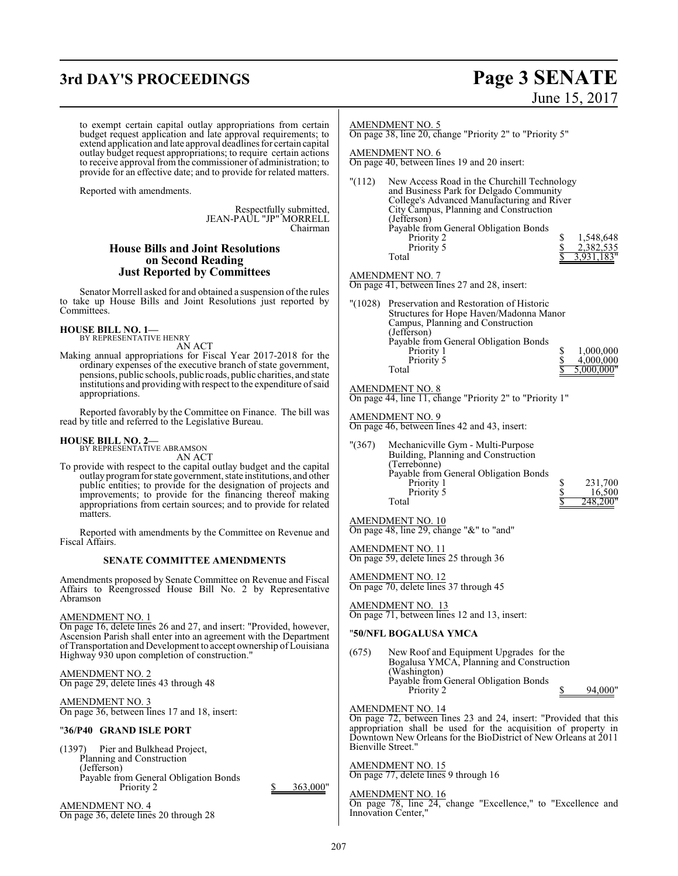## **3rd DAY'S PROCEEDINGS Page 3 SENATE**

# June 15, 2017

to exempt certain capital outlay appropriations from certain budget request application and late approval requirements; to extend application and late approval deadlines for certain capital outlay budget request appropriations; to require certain actions to receive approval from the commissioner of administration; to provide for an effective date; and to provide for related matters.

Reported with amendments.

Respectfully submitted, JEAN-PAUL "JP" MORRELL Chairman

#### **House Bills and Joint Resolutions on Second Reading Just Reported by Committees**

Senator Morrell asked for and obtained a suspension of the rules to take up House Bills and Joint Resolutions just reported by Committees.

#### **HOUSE BILL NO. 1—**

BY REPRESENTATIVE HENRY AN ACT

Making annual appropriations for Fiscal Year 2017-2018 for the ordinary expenses of the executive branch of state government, pensions, public schools, public roads, public charities, and state institutions and providing with respect to the expenditure ofsaid appropriations.

Reported favorably by the Committee on Finance. The bill was read by title and referred to the Legislative Bureau.

#### **HOUSE BILL NO. 2—**

BY REPRESENTATIVE ABRAMSON AN ACT

To provide with respect to the capital outlay budget and the capital outlay programfor state government, state institutions, and other public entities; to provide for the designation of projects and improvements; to provide for the financing thereof making appropriations from certain sources; and to provide for related matters.

Reported with amendments by the Committee on Revenue and Fiscal Affairs.

#### **SENATE COMMITTEE AMENDMENTS**

Amendments proposed by Senate Committee on Revenue and Fiscal Affairs to Reengrossed House Bill No. 2 by Representative Abramson

#### AMENDMENT NO. 1

On page 16, delete lines 26 and 27, and insert: "Provided, however, Ascension Parish shall enter into an agreement with the Department of Transportation and Development to accept ownership of Louisiana Highway 930 upon completion of construction."

### AMENDMENT NO. 2

On page 29, delete lines 43 through 48

AMENDMENT NO. 3 On page 36, between lines 17 and 18, insert:

#### "**36/P40 GRAND ISLE PORT**

(1397) Pier and Bulkhead Project, Planning and Construction (Jefferson) Payable from General Obligation Bonds<br>Priority 2

AMENDMENT NO. 4 On page 36, delete lines 20 through 28

#### AMENDMENT NO. 5

On page 38, line 20, change "Priority 2" to "Priority 5"

#### AMENDMENT NO. 6

On page 40, between lines 19 and 20 insert:

| "(112) | New Access Road in the Churchill Technology |            |
|--------|---------------------------------------------|------------|
|        | and Business Park for Delgado Community     |            |
|        | College's Advanced Manufacturing and River  |            |
|        | City Campus, Planning and Construction      |            |
|        | (Jefferson)                                 |            |
|        | Payable from General Obligation Bonds       |            |
|        | Priority 2                                  | 1,548,648  |
|        | Priority 5                                  | 2,382,535  |
|        | Total                                       | 3.931.183" |
|        |                                             |            |

AMENDMENT NO. 7

On page 41, between lines 27 and 28, insert:

| "(1028) | Preservation and Restoration of Historic |            |
|---------|------------------------------------------|------------|
|         | Structures for Hope Haven/Madonna Manor  |            |
|         | Campus, Planning and Construction        |            |
|         | (Jefferson)                              |            |
|         | Payable from General Obligation Bonds    |            |
|         | Priority 1                               | 1,000,000  |
|         | Priority 5                               | 4,000,000  |
|         | Total                                    | 5,000,000" |

#### AMENDMENT NO. 8

On page 44, line 11, change "Priority 2" to "Priority 1"

#### AMENDMENT NO. 9

On page 46, between lines 42 and 43, insert:

"(367) Mechanicville Gym - Multi-Purpose Building, Planning and Construction (Terrebonne) Payable from General Obligation Bonds Priority 1 <br>
Priority 5 <br>
8 <br>
231,700<br>
8 <br>
16,500 Priority 5<br>Total <sup>2</sup>48,200"

#### AMENDMENT NO. 10

On page 48, line 29, change "&" to "and"

AMENDMENT NO. 11 On page 59, delete lines 25 through 36

AMENDMENT NO. 12 On page 70, delete lines 37 through 45

AMENDMENT NO. 13 On page 71, between lines 12 and 13, insert:

#### "**50/NFL BOGALUSA YMCA**

(675) New Roof and Equipment Upgrades for the Bogalusa YMCA, Planning and Construction (Washington) Payable from General Obligation Bonds Priority 2 \$ 94,000"

AMENDMENT NO. 14

On page 72, between lines 23 and 24, insert: "Provided that this appropriation shall be used for the acquisition of property in Downtown New Orleans for the BioDistrict of New Orleans at 2011 Bienville Street."

#### AMENDMENT NO. 15 On page 77, delete lines 9 through 16

AMENDMENT NO. 16

On page 78, line 24, change "Excellence," to "Excellence and Innovation Center,"

 $363,000"$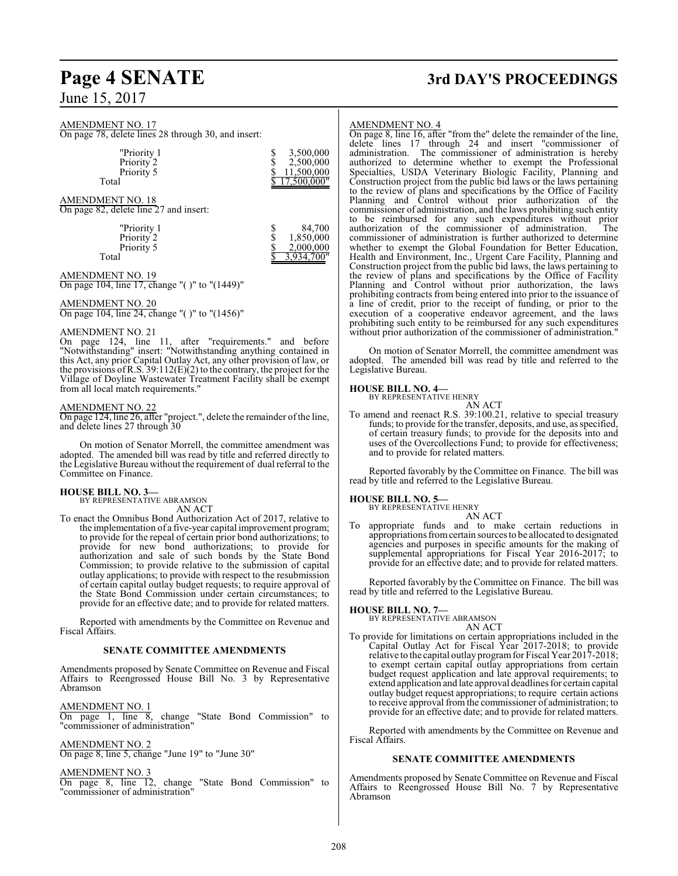June 15, 2017

#### AMENDMENT NO. 17

On page 78, delete lines 28 through 30, and insert:

| "Priority 1<br>Priority 2<br>Priority 5<br>Total | 3,500,000<br>2,500,000<br>11,500,000<br>7,500,000" |
|--------------------------------------------------|----------------------------------------------------|
|                                                  |                                                    |
| <b>AMENDMENT NO. 18</b>                          |                                                    |

On page 82, delete line 27 and insert:

| "Priority 1 | 84,700     |
|-------------|------------|
| Priority 2  | 1,850,000  |
| Priority 5  | 2,000,000  |
| Total       | 3.934.700" |

#### AMENDMENT NO. 19

On page 104, line 17, change "( )" to "(1449)"

#### AMENDMENT NO. 20

On page 104, line 24, change "( )" to "(1456)"

#### AMENDMENT NO. 21

On page 124, line 11, after "requirements." and before "Notwithstanding" insert: "Notwithstanding anything contained in this Act, any prior Capital Outlay Act, any other provision of law, or the provisions of R.S.  $39:112(E)(2)$  to the contrary, the project for the Village of Doyline Wastewater Treatment Facility shall be exempt from all local match requirements."

#### AMENDMENT NO. 22

On page 124, line 26, after "project.", delete the remainder ofthe line, and delete lines 27 through 30

On motion of Senator Morrell, the committee amendment was adopted. The amended bill was read by title and referred directly to the Legislative Bureau without the requirement of dual referral to the Committee on Finance.

#### **HOUSE BILL NO. 3—**

BY REPRESENTATIVE ABRAMSON AN ACT

To enact the Omnibus Bond Authorization Act of 2017, relative to the implementation of a five-year capital improvement program; to provide for the repeal of certain prior bond authorizations; to provide for new bond authorizations; to provide for authorization and sale of such bonds by the State Bond Commission; to provide relative to the submission of capital outlay applications; to provide with respect to the resubmission of certain capital outlay budget requests; to require approval of the State Bond Commission under certain circumstances; to provide for an effective date; and to provide for related matters.

Reported with amendments by the Committee on Revenue and Fiscal Affairs.

#### **SENATE COMMITTEE AMENDMENTS**

Amendments proposed by Senate Committee on Revenue and Fiscal Affairs to Reengrossed House Bill No. 3 by Representative Abramson

AMENDMENT NO. 1 On page 1, line 8, change "State Bond Commission" to "commissioner of administration"

AMENDMENT NO. 2 On page 8, line 5, change "June 19" to "June 30"

AMENDMENT NO. 3

On page 8, line 12, change "State Bond Commission" to "commissioner of administration"

## **Page 4 SENATE 3rd DAY'S PROCEEDINGS**

#### AMENDMENT NO. 4

On page 8, line 16, after "from the" delete the remainder of the line, delete lines 17 through 24 and insert "commissioner of administration. The commissioner of administration is hereby authorized to determine whether to exempt the Professional Specialties, USDA Veterinary Biologic Facility, Planning and Construction project from the public bid laws or the laws pertaining to the review of plans and specifications by the Office of Facility Planning and Control without prior authorization of the commissioner of administration, and the laws prohibiting such entity to be reimbursed for any such expenditures without prior authorization of the commissioner of administration. The commissioner of administration is further authorized to determine whether to exempt the Global Foundation for Better Education, Health and Environment, Inc., Urgent Care Facility, Planning and Construction project from the public bid laws, the laws pertaining to the review of plans and specifications by the Office of Facility Planning and Control without prior authorization, the laws prohibiting contracts from being entered into prior to the issuance of a line of credit, prior to the receipt of funding, or prior to the execution of a cooperative endeavor agreement, and the laws prohibiting such entity to be reimbursed for any such expenditures without prior authorization of the commissioner of administration."

On motion of Senator Morrell, the committee amendment was adopted. The amended bill was read by title and referred to the Legislative Bureau.

#### **HOUSE BILL NO. 4—**

BY REPRESENTATIVE HENRY

- AN ACT
- To amend and reenact R.S. 39:100.21, relative to special treasury funds; to provide for the transfer, deposits, and use, as specified, of certain treasury funds; to provide for the deposits into and uses of the Overcollections Fund; to provide for effectiveness; and to provide for related matters.

Reported favorably by the Committee on Finance. The bill was read by title and referred to the Legislative Bureau.

#### **HOUSE BILL NO. 5—**

BY REPRESENTATIVE HENRY

AN ACT To appropriate funds and to make certain reductions in appropriations fromcertain sources to be allocated to designated agencies and purposes in specific amounts for the making of supplemental appropriations for Fiscal Year 2016-2017; to provide for an effective date; and to provide for related matters.

Reported favorably by the Committee on Finance. The bill was read by title and referred to the Legislative Bureau.

#### **HOUSE BILL NO. 7—**

BY REPRESENTATIVE ABRAMSON AN ACT

To provide for limitations on certain appropriations included in the Capital Outlay Act for Fiscal Year 2017-2018; to provide relative to the capital outlay program for Fiscal Year 2017-2018; to exempt certain capital outlay appropriations from certain budget request application and late approval requirements; to extend application and late approval deadlines for certain capital outlay budget request appropriations; to require certain actions to receive approval from the commissioner of administration; to provide for an effective date; and to provide for related matters.

Reported with amendments by the Committee on Revenue and Fiscal Affairs.

#### **SENATE COMMITTEE AMENDMENTS**

Amendments proposed by Senate Committee on Revenue and Fiscal Affairs to Reengrossed House Bill No. 7 by Representative Abramson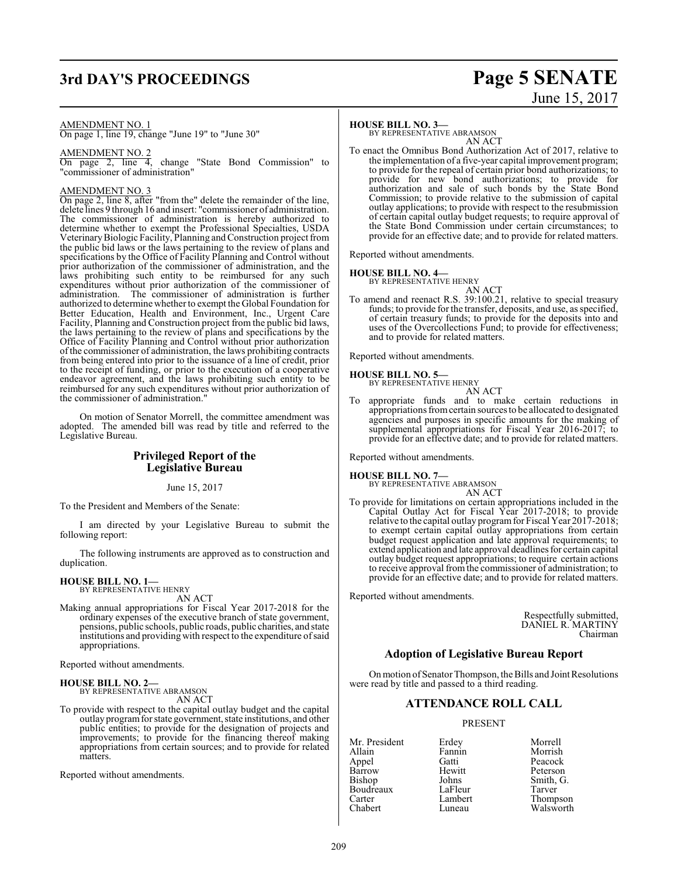# **3rd DAY'S PROCEEDINGS Page 5 SENATE**

# June 15, 2017

AMENDMENT NO. 1

On page 1, line 19, change "June 19" to "June 30"

#### AMENDMENT NO. 2

On page 2, line 4, change "State Bond Commission" to "commissioner of administration"

#### AMENDMENT NO. 3

On page 2, line 8, after "from the" delete the remainder of the line, delete lines 9 through 16 and insert: "commissioner of administration. The commissioner of administration is hereby authorized to determine whether to exempt the Professional Specialties, USDA Veterinary Biologic Facility, Planning and Construction project from the public bid laws or the laws pertaining to the review of plans and specifications by the Office of Facility Planning and Control without prior authorization of the commissioner of administration, and the laws prohibiting such entity to be reimbursed for any such expenditures without prior authorization of the commissioner of administration. The commissioner of administration is further authorized to determine whether to exempt the Global Foundation for Better Education, Health and Environment, Inc., Urgent Care Facility, Planning and Construction project from the public bid laws, the laws pertaining to the review of plans and specifications by the Office of Facility Planning and Control without prior authorization ofthe commissioner of administration, the laws prohibiting contracts from being entered into prior to the issuance of a line of credit, prior to the receipt of funding, or prior to the execution of a cooperative endeavor agreement, and the laws prohibiting such entity to be reimbursed for any such expenditures without prior authorization of the commissioner of administration."

On motion of Senator Morrell, the committee amendment was adopted. The amended bill was read by title and referred to the Legislative Bureau.

### **Privileged Report of the Legislative Bureau**

June 15, 2017

To the President and Members of the Senate:

I am directed by your Legislative Bureau to submit the following report:

The following instruments are approved as to construction and duplication.

#### **HOUSE BILL NO. 1—**

BY REPRESENTATIVE HENRY AN ACT

Making annual appropriations for Fiscal Year 2017-2018 for the ordinary expenses of the executive branch of state government, pensions, public schools, public roads, public charities, and state institutions and providing with respect to the expenditure ofsaid appropriations.

Reported without amendments.

#### **HOUSE BILL NO. 2—**

BY REPRESENTATIVE ABRAMSON AN ACT

To provide with respect to the capital outlay budget and the capital outlay program for state government, state institutions, and other public entities; to provide for the designation of projects and improvements; to provide for the financing thereof making appropriations from certain sources; and to provide for related matters.

Reported without amendments.

#### **HOUSE BILL NO. 3—**

BY REPRESENTATIVE ABRAMSON AN ACT

To enact the Omnibus Bond Authorization Act of 2017, relative to the implementation of a five-year capital improvement program; to provide for the repeal of certain prior bond authorizations; to provide for new bond authorizations; to provide for authorization and sale of such bonds by the State Bond Commission; to provide relative to the submission of capital outlay applications; to provide with respect to the resubmission of certain capital outlay budget requests; to require approval of the State Bond Commission under certain circumstances; to provide for an effective date; and to provide for related matters.

Reported without amendments.

#### **HOUSE BILL NO. 4—**

BY REPRESENTATIVE HENRY AN ACT

To amend and reenact R.S. 39:100.21, relative to special treasury funds; to provide for the transfer, deposits, and use, as specified, of certain treasury funds; to provide for the deposits into and uses of the Overcollections Fund; to provide for effectiveness; and to provide for related matters.

Reported without amendments.

## **HOUSE BILL NO. 5—** BY REPRESENTATIVE HENRY

- 
- AN ACT To appropriate funds and to make certain reductions in appropriations fromcertain sources to be allocated to designated agencies and purposes in specific amounts for the making of supplemental appropriations for Fiscal Year 2016-2017; to provide for an effective date; and to provide for related matters.

Reported without amendments.

**HOUSE BILL NO. 7—**

BY REPRESENTATIVE ABRAMSON AN ACT

To provide for limitations on certain appropriations included in the Capital Outlay Act for Fiscal Year 2017-2018; to provide relative to the capital outlay program for Fiscal Year 2017-2018; to exempt certain capital outlay appropriations from certain budget request application and late approval requirements; to extend application and late approval deadlines for certain capital outlay budget request appropriations; to require certain actions to receive approval fromthe commissioner of administration; to provide for an effective date; and to provide for related matters.

Reported without amendments.

Respectfully submitted, DANIEL R. MARTINY Chairman

#### **Adoption of Legislative Bureau Report**

On motion of Senator Thompson, the Bills and Joint Resolutions were read by title and passed to a third reading.

#### **ATTENDANCE ROLL CALL**

PRESENT

- Mr. President Erdey Morrell<br>Allain Fannin Morrish Allain Fannin Morrish Appel Gatti Peacock Barrow Hewitt Peterson<br>Bishop Johns Smith, G Boudreaux LaFleur<br>Carter Lambert Carter **Lambert** Chapert Chabert Chabert Luneau **Chapter** Chabert Chapter Chapter Chapter Chapter Chapter Chapter<br>Chapter Chapter Chapter Chapter Chapter Chapter Chapter Chapter Chapter Chapter Chapter Chapter Chapter Chap
	- Johns Smith, G.<br>LaFleur Tarver Walsworth